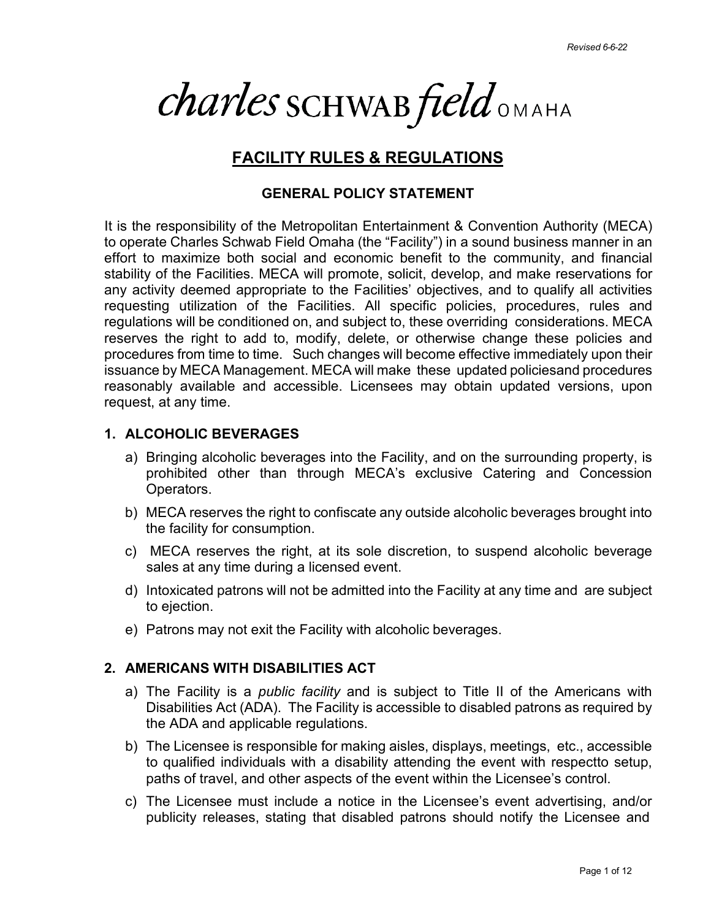*charles* SCHWAB field OMAHA

# **FACILITY RULES & REGULATIONS**

# **GENERAL POLICY STATEMENT**

It is the responsibility of the Metropolitan Entertainment & Convention Authority (MECA) to operate Charles Schwab Field Omaha (the "Facility") in a sound business manner in an effort to maximize both social and economic benefit to the community, and financial stability of the Facilities. MECA will promote, solicit, develop, and make reservations for any activity deemed appropriate to the Facilities' objectives, and to qualify all activities requesting utilization of the Facilities. All specific policies, procedures, rules and regulations will be conditioned on, and subject to, these overriding considerations. MECA reserves the right to add to, modify, delete, or otherwise change these policies and procedures from time to time. Such changes will become effective immediately upon their issuance by MECA Management. MECA will make these updated policiesand procedures reasonably available and accessible. Licensees may obtain updated versions, upon request, at any time.

# **1. ALCOHOLIC BEVERAGES**

- a) Bringing alcoholic beverages into the Facility, and on the surrounding property, is prohibited other than through MECA's exclusive Catering and Concession Operators.
- b) MECA reserves the right to confiscate any outside alcoholic beverages brought into the facility for consumption.
- c) MECA reserves the right, at its sole discretion, to suspend alcoholic beverage sales at any time during a licensed event.
- d) Intoxicated patrons will not be admitted into the Facility at any time and are subject to ejection.
- e) Patrons may not exit the Facility with alcoholic beverages.

# **2. AMERICANS WITH DISABILITIES ACT**

- a) The Facility is a *public facility* and is subject to Title II of the Americans with Disabilities Act (ADA). The Facility is accessible to disabled patrons as required by the ADA and applicable regulations.
- b) The Licensee is responsible for making aisles, displays, meetings, etc., accessible to qualified individuals with a disability attending the event with respectto setup, paths of travel, and other aspects of the event within the Licensee's control.
- c) The Licensee must include a notice in the Licensee's event advertising, and/or publicity releases, stating that disabled patrons should notify the Licensee and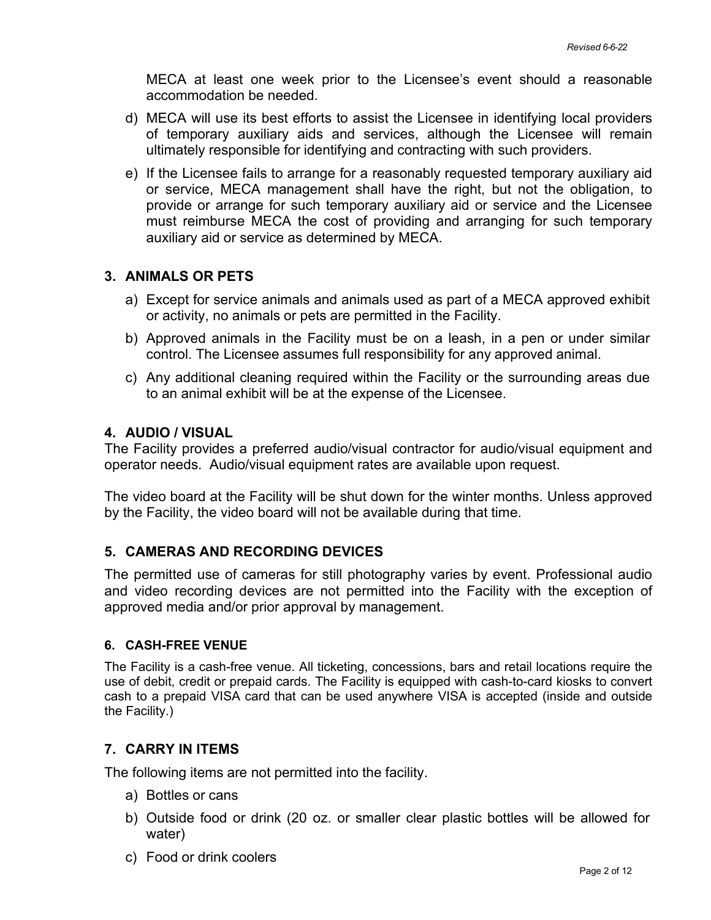MECA at least one week prior to the Licensee's event should a reasonable accommodation be needed.

- d) MECA will use its best efforts to assist the Licensee in identifying local providers of temporary auxiliary aids and services, although the Licensee will remain ultimately responsible for identifying and contracting with such providers.
- e) If the Licensee fails to arrange for a reasonably requested temporary auxiliary aid or service, MECA management shall have the right, but not the obligation, to provide or arrange for such temporary auxiliary aid or service and the Licensee must reimburse MECA the cost of providing and arranging for such temporary auxiliary aid or service as determined by MECA.

## **3. ANIMALS OR PETS**

- a) Except for service animals and animals used as part of a MECA approved exhibit or activity, no animals or pets are permitted in the Facility.
- b) Approved animals in the Facility must be on a leash, in a pen or under similar control. The Licensee assumes full responsibility for any approved animal.
- c) Any additional cleaning required within the Facility or the surrounding areas due to an animal exhibit will be at the expense of the Licensee.

## **4. AUDIO / VISUAL**

The Facility provides a preferred audio/visual contractor for audio/visual equipment and operator needs. Audio/visual equipment rates are available upon request.

The video board at the Facility will be shut down for the winter months. Unless approved by the Facility, the video board will not be available during that time.

# **5. CAMERAS AND RECORDING DEVICES**

The permitted use of cameras for still photography varies by event. Professional audio and video recording devices are not permitted into the Facility with the exception of approved media and/or prior approval by management.

#### **6. CASH-FREE VENUE**

The Facility is a cash-free venue. All ticketing, concessions, bars and retail locations require the use of debit, credit or prepaid cards. The Facility is equipped with cash-to-card kiosks to convert cash to a prepaid VISA card that can be used anywhere VISA is accepted (inside and outside the Facility.)

#### **7. CARRY IN ITEMS**

The following items are not permitted into the facility.

- a) Bottles or cans
- b) Outside food or drink (20 oz. or smaller clear plastic bottles will be allowed for water)
- c) Food or drink coolers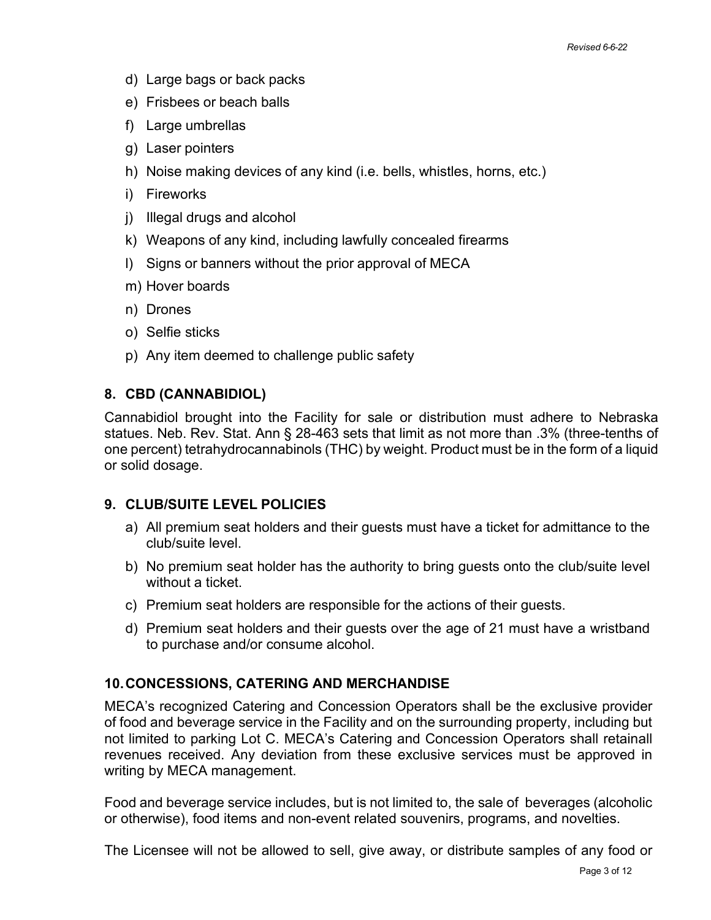- d) Large bags or back packs
- e) Frisbees or beach balls
- f) Large umbrellas
- g) Laser pointers
- h) Noise making devices of any kind (i.e. bells, whistles, horns, etc.)
- i) Fireworks
- j) Illegal drugs and alcohol
- k) Weapons of any kind, including lawfully concealed firearms
- l) Signs or banners without the prior approval of MECA
- m) Hover boards
- n) Drones
- o) Selfie sticks
- p) Any item deemed to challenge public safety

# **8. CBD (CANNABIDIOL)**

Cannabidiol brought into the Facility for sale or distribution must adhere to Nebraska statues. Neb. Rev. Stat. Ann § 28-463 sets that limit as not more than .3% (three-tenths of one percent) tetrahydrocannabinols (THC) by weight. Product must be in the form of a liquid or solid dosage.

# **9. CLUB/SUITE LEVEL POLICIES**

- a) All premium seat holders and their guests must have a ticket for admittance to the club/suite level.
- b) No premium seat holder has the authority to bring guests onto the club/suite level without a ticket.
- c) Premium seat holders are responsible for the actions of their guests.
- d) Premium seat holders and their guests over the age of 21 must have a wristband to purchase and/or consume alcohol.

# **10.CONCESSIONS, CATERING AND MERCHANDISE**

MECA's recognized Catering and Concession Operators shall be the exclusive provider of food and beverage service in the Facility and on the surrounding property, including but not limited to parking Lot C. MECA's Catering and Concession Operators shall retainall revenues received. Any deviation from these exclusive services must be approved in writing by MECA management.

Food and beverage service includes, but is not limited to, the sale of beverages (alcoholic or otherwise), food items and non-event related souvenirs, programs, and novelties.

The Licensee will not be allowed to sell, give away, or distribute samples of any food or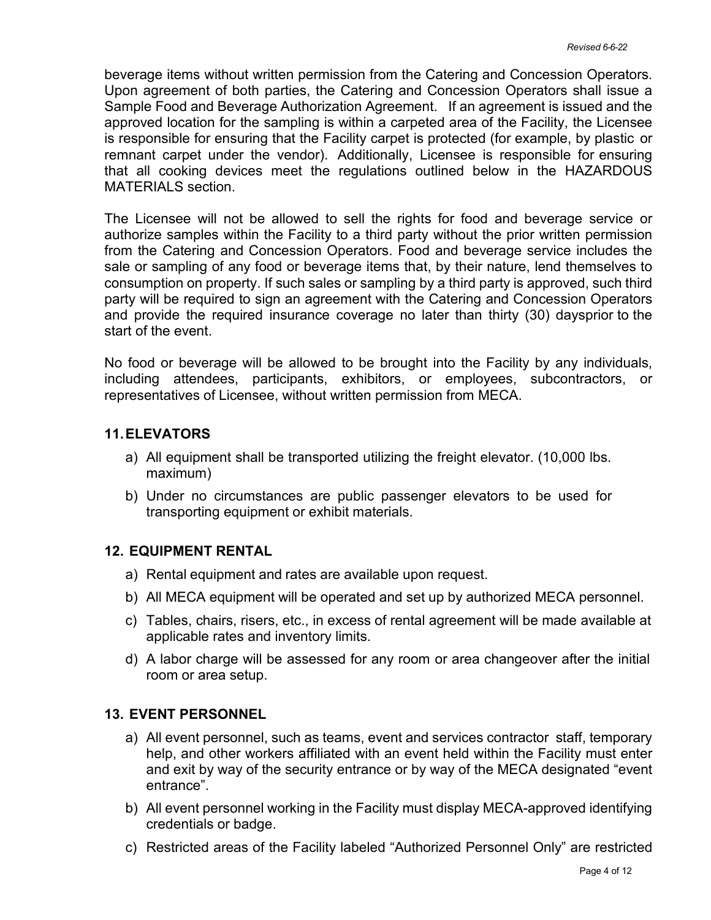beverage items without written permission from the Catering and Concession Operators. Upon agreement of both parties, the Catering and Concession Operators shall issue a Sample Food and Beverage Authorization Agreement. If an agreement is issued and the approved location for the sampling is within a carpeted area of the Facility, the Licensee is responsible for ensuring that the Facility carpet is protected (for example, by plastic or remnant carpet under the vendor). Additionally, Licensee is responsible for ensuring that all cooking devices meet the regulations outlined below in the HAZARDOUS MATERIALS section.

The Licensee will not be allowed to sell the rights for food and beverage service or authorize samples within the Facility to a third party without the prior written permission from the Catering and Concession Operators. Food and beverage service includes the sale or sampling of any food or beverage items that, by their nature, lend themselves to consumption on property. If such sales or sampling by a third party is approved, such third party will be required to sign an agreement with the Catering and Concession Operators and provide the required insurance coverage no later than thirty (30) daysprior to the start of the event.

No food or beverage will be allowed to be brought into the Facility by any individuals, including attendees, participants, exhibitors, or employees, subcontractors, or representatives of Licensee, without written permission from MECA.

# **11.ELEVATORS**

- a) All equipment shall be transported utilizing the freight elevator. (10,000 lbs. maximum)
- b) Under no circumstances are public passenger elevators to be used for transporting equipment or exhibit materials.

#### **12. EQUIPMENT RENTAL**

- a) Rental equipment and rates are available upon request.
- b) All MECA equipment will be operated and set up by authorized MECA personnel.
- c) Tables, chairs, risers, etc., in excess of rental agreement will be made available at applicable rates and inventory limits.
- d) A labor charge will be assessed for any room or area changeover after the initial room or area setup.

# **13. EVENT PERSONNEL**

- a) All event personnel, such as teams, event and services contractor staff, temporary help, and other workers affiliated with an event held within the Facility must enter and exit by way of the security entrance or by way of the MECA designated "event entrance".
- b) All event personnel working in the Facility must display MECA-approved identifying credentials or badge.
- c) Restricted areas of the Facility labeled "Authorized Personnel Only" are restricted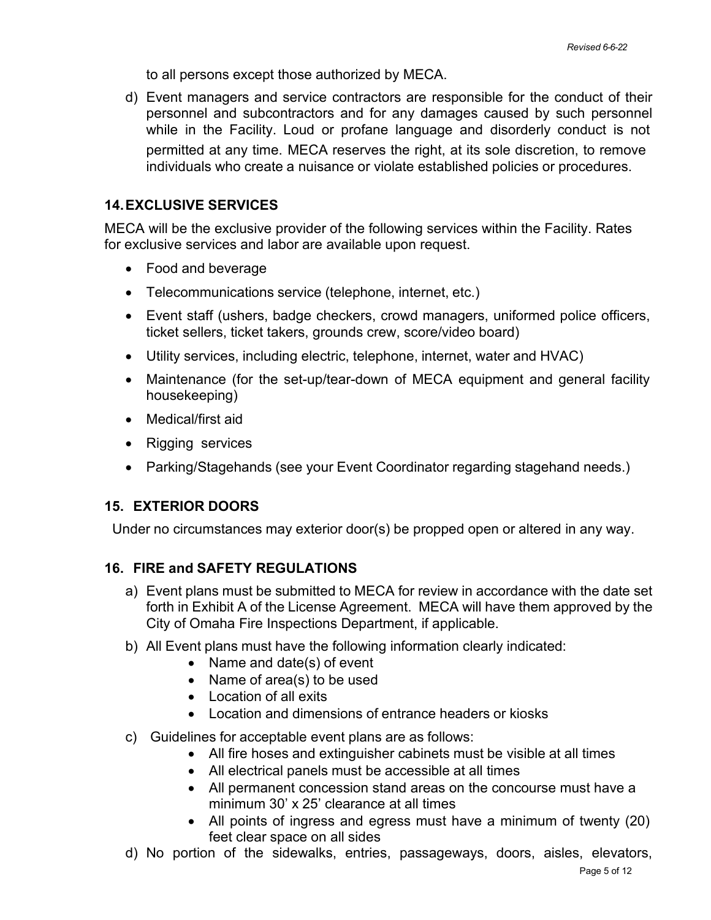to all persons except those authorized by MECA.

d) Event managers and service contractors are responsible for the conduct of their personnel and subcontractors and for any damages caused by such personnel while in the Facility. Loud or profane language and disorderly conduct is not permitted at any time. MECA reserves the right, at its sole discretion, to remove individuals who create a nuisance or violate established policies or procedures.

# **14.EXCLUSIVE SERVICES**

MECA will be the exclusive provider of the following services within the Facility. Rates for exclusive services and labor are available upon request.

- Food and beverage
- Telecommunications service (telephone, internet, etc.)
- Event staff (ushers, badge checkers, crowd managers, uniformed police officers, ticket sellers, ticket takers, grounds crew, score/video board)
- Utility services, including electric, telephone, internet, water and HVAC)
- Maintenance (for the set-up/tear-down of MECA equipment and general facility housekeeping)
- Medical/first aid
- Rigging services
- Parking/Stagehands (see your Event Coordinator regarding stagehand needs.)

# **15. EXTERIOR DOORS**

Under no circumstances may exterior door(s) be propped open or altered in any way.

# **16. FIRE and SAFETY REGULATIONS**

- a) Event plans must be submitted to MECA for review in accordance with the date set forth in Exhibit A of the License Agreement. MECA will have them approved by the City of Omaha Fire Inspections Department, if applicable.
- b) All Event plans must have the following information clearly indicated:
	- Name and date(s) of event
	- Name of area(s) to be used
	- Location of all exits
	- Location and dimensions of entrance headers or kiosks
- c) Guidelines for acceptable event plans are as follows:
	- All fire hoses and extinguisher cabinets must be visible at all times
	- All electrical panels must be accessible at all times
	- All permanent concession stand areas on the concourse must have a minimum 30' x 25' clearance at all times
	- All points of ingress and egress must have a minimum of twenty (20) feet clear space on all sides
- d) No portion of the sidewalks, entries, passageways, doors, aisles, elevators,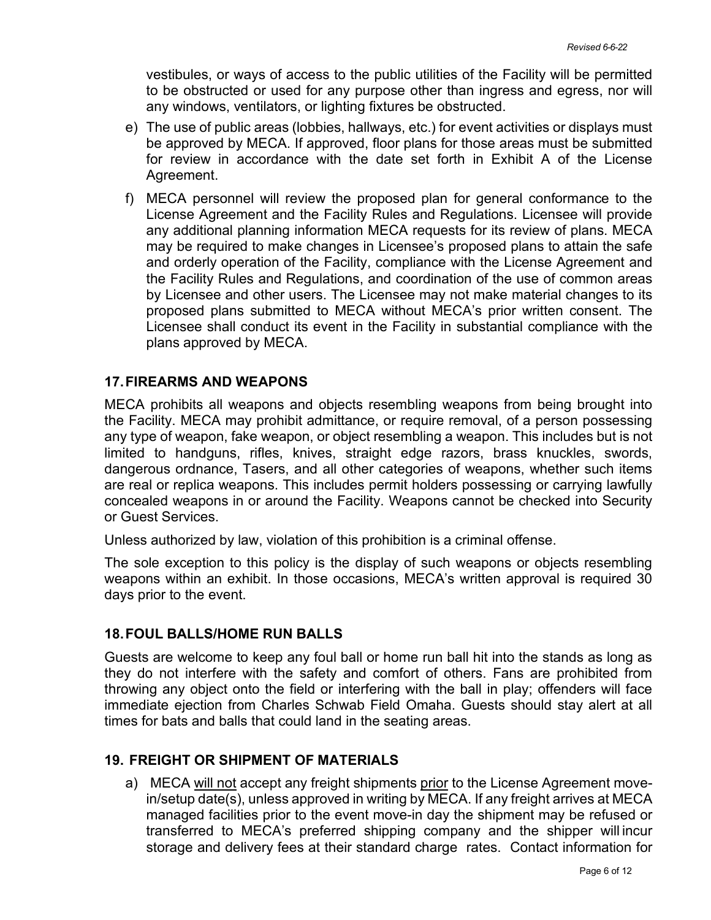vestibules, or ways of access to the public utilities of the Facility will be permitted to be obstructed or used for any purpose other than ingress and egress, nor will any windows, ventilators, or lighting fixtures be obstructed.

- e) The use of public areas (lobbies, hallways, etc.) for event activities or displays must be approved by MECA. If approved, floor plans for those areas must be submitted for review in accordance with the date set forth in Exhibit A of the License Agreement.
- f) MECA personnel will review the proposed plan for general conformance to the License Agreement and the Facility Rules and Regulations. Licensee will provide any additional planning information MECA requests for its review of plans. MECA may be required to make changes in Licensee's proposed plans to attain the safe and orderly operation of the Facility, compliance with the License Agreement and the Facility Rules and Regulations, and coordination of the use of common areas by Licensee and other users. The Licensee may not make material changes to its proposed plans submitted to MECA without MECA's prior written consent. The Licensee shall conduct its event in the Facility in substantial compliance with the plans approved by MECA.

#### **17.FIREARMS AND WEAPONS**

MECA prohibits all weapons and objects resembling weapons from being brought into the Facility. MECA may prohibit admittance, or require removal, of a person possessing any type of weapon, fake weapon, or object resembling a weapon. This includes but is not limited to handguns, rifles, knives, straight edge razors, brass knuckles, swords, dangerous ordnance, Tasers, and all other categories of weapons, whether such items are real or replica weapons. This includes permit holders possessing or carrying lawfully concealed weapons in or around the Facility. Weapons cannot be checked into Security or Guest Services.

Unless authorized by law, violation of this prohibition is a criminal offense.

The sole exception to this policy is the display of such weapons or objects resembling weapons within an exhibit. In those occasions, MECA's written approval is required 30 days prior to the event.

#### **18.FOUL BALLS/HOME RUN BALLS**

Guests are welcome to keep any foul ball or home run ball hit into the stands as long as they do not interfere with the safety and comfort of others. Fans are prohibited from throwing any object onto the field or interfering with the ball in play; offenders will face immediate ejection from Charles Schwab Field Omaha. Guests should stay alert at all times for bats and balls that could land in the seating areas.

#### **19. FREIGHT OR SHIPMENT OF MATERIALS**

a) MECA will not accept any freight shipments prior to the License Agreement movein/setup date(s), unless approved in writing by MECA. If any freight arrives at MECA managed facilities prior to the event move-in day the shipment may be refused or transferred to MECA's preferred shipping company and the shipper will incur storage and delivery fees at their standard charge rates. Contact information for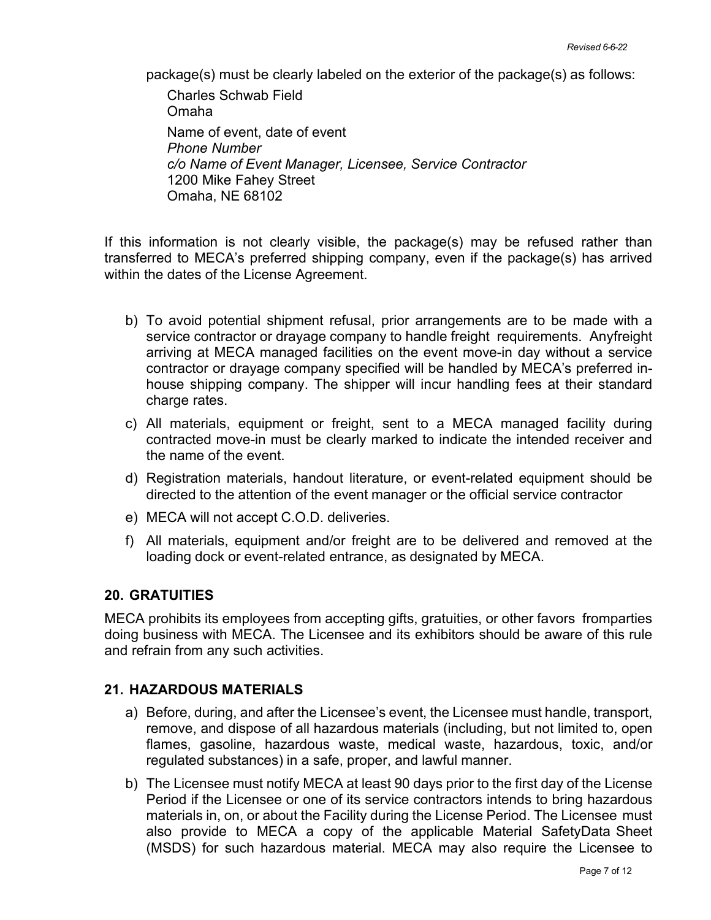package(s) must be clearly labeled on the exterior of the package(s) as follows:

Charles Schwab Field Omaha Name of event, date of event *Phone Number c/o Name of Event Manager, Licensee, Service Contractor* 1200 Mike Fahey Street Omaha, NE 68102

If this information is not clearly visible, the package(s) may be refused rather than transferred to MECA's preferred shipping company, even if the package(s) has arrived within the dates of the License Agreement.

- b) To avoid potential shipment refusal, prior arrangements are to be made with a service contractor or drayage company to handle freight requirements. Anyfreight arriving at MECA managed facilities on the event move-in day without a service contractor or drayage company specified will be handled by MECA's preferred inhouse shipping company. The shipper will incur handling fees at their standard charge rates.
- c) All materials, equipment or freight, sent to a MECA managed facility during contracted move-in must be clearly marked to indicate the intended receiver and the name of the event.
- d) Registration materials, handout literature, or event-related equipment should be directed to the attention of the event manager or the official service contractor
- e) MECA will not accept C.O.D. deliveries.
- f) All materials, equipment and/or freight are to be delivered and removed at the loading dock or event-related entrance, as designated by MECA.

#### **20. GRATUITIES**

MECA prohibits its employees from accepting gifts, gratuities, or other favors fromparties doing business with MECA. The Licensee and its exhibitors should be aware of this rule and refrain from any such activities.

# **21. HAZARDOUS MATERIALS**

- a) Before, during, and after the Licensee's event, the Licensee must handle, transport, remove, and dispose of all hazardous materials (including, but not limited to, open flames, gasoline, hazardous waste, medical waste, hazardous, toxic, and/or regulated substances) in a safe, proper, and lawful manner.
- b) The Licensee must notify MECA at least 90 days prior to the first day of the License Period if the Licensee or one of its service contractors intends to bring hazardous materials in, on, or about the Facility during the License Period. The Licensee must also provide to MECA a copy of the applicable Material SafetyData Sheet (MSDS) for such hazardous material. MECA may also require the Licensee to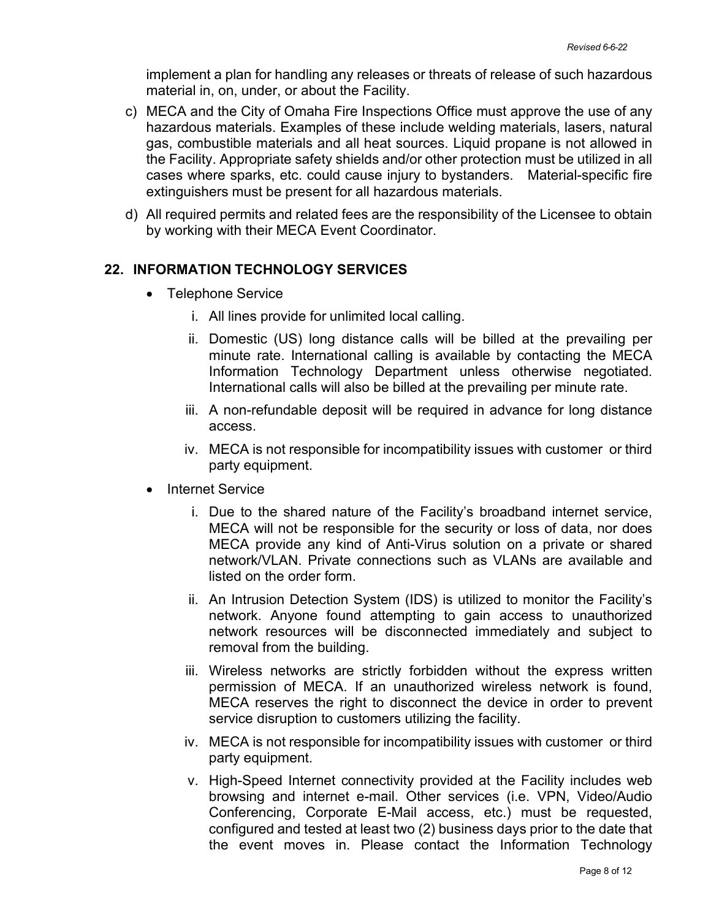implement a plan for handling any releases or threats of release of such hazardous material in, on, under, or about the Facility.

- c) MECA and the City of Omaha Fire Inspections Office must approve the use of any hazardous materials. Examples of these include welding materials, lasers, natural gas, combustible materials and all heat sources. Liquid propane is not allowed in the Facility. Appropriate safety shields and/or other protection must be utilized in all cases where sparks, etc. could cause injury to bystanders. Material-specific fire extinguishers must be present for all hazardous materials.
- d) All required permits and related fees are the responsibility of the Licensee to obtain by working with their MECA Event Coordinator.

## **22. INFORMATION TECHNOLOGY SERVICES**

- Telephone Service
	- i. All lines provide for unlimited local calling.
	- ii. Domestic (US) long distance calls will be billed at the prevailing per minute rate. International calling is available by contacting the MECA Information Technology Department unless otherwise negotiated. International calls will also be billed at the prevailing per minute rate.
	- iii. A non-refundable deposit will be required in advance for long distance access.
	- iv. MECA is not responsible for incompatibility issues with customer or third party equipment.
- Internet Service
	- i. Due to the shared nature of the Facility's broadband internet service, MECA will not be responsible for the security or loss of data, nor does MECA provide any kind of Anti-Virus solution on a private or shared network/VLAN. Private connections such as VLANs are available and listed on the order form.
	- ii. An Intrusion Detection System (IDS) is utilized to monitor the Facility's network. Anyone found attempting to gain access to unauthorized network resources will be disconnected immediately and subject to removal from the building.
	- iii. Wireless networks are strictly forbidden without the express written permission of MECA. If an unauthorized wireless network is found, MECA reserves the right to disconnect the device in order to prevent service disruption to customers utilizing the facility.
	- iv. MECA is not responsible for incompatibility issues with customer or third party equipment.
	- v. High-Speed Internet connectivity provided at the Facility includes web browsing and internet e-mail. Other services (i.e. VPN, Video/Audio Conferencing, Corporate E-Mail access, etc.) must be requested, configured and tested at least two (2) business days prior to the date that the event moves in. Please contact the Information Technology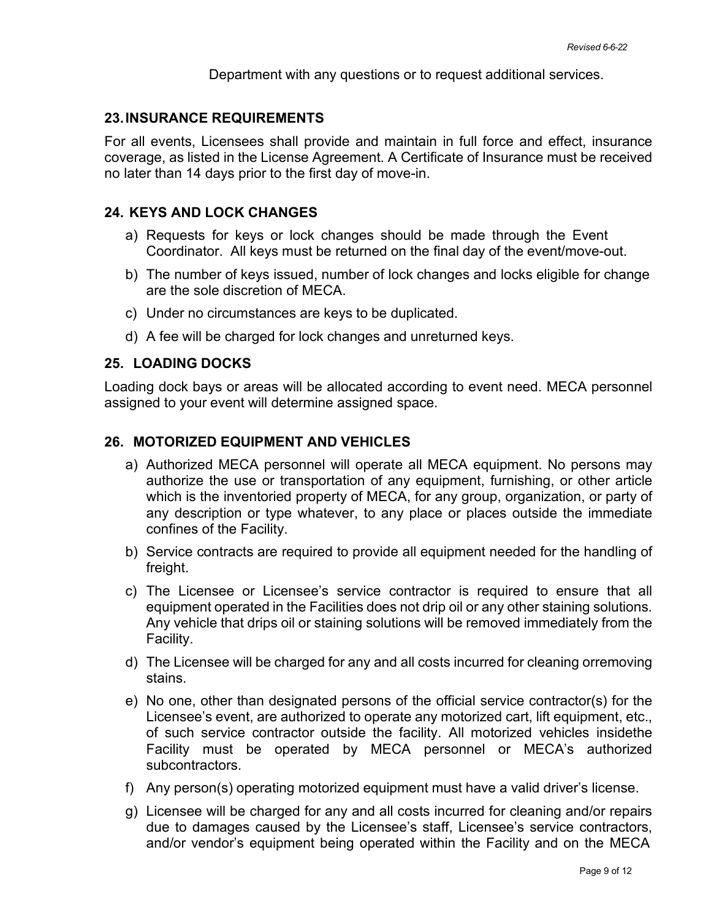Department with any questions or to request additional services.

# **23.INSURANCE REQUIREMENTS**

For all events, Licensees shall provide and maintain in full force and effect, insurance coverage, as listed in the License Agreement. A Certificate of Insurance must be received no later than 14 days prior to the first day of move-in.

# **24. KEYS AND LOCK CHANGES**

- a) Requests for keys or lock changes should be made through the Event Coordinator. All keys must be returned on the final day of the event/move-out.
- b) The number of keys issued, number of lock changes and locks eligible for change are the sole discretion of MECA.
- c) Under no circumstances are keys to be duplicated.
- d) A fee will be charged for lock changes and unreturned keys.

## **25. LOADING DOCKS**

Loading dock bays or areas will be allocated according to event need. MECA personnel assigned to your event will determine assigned space.

## **26. MOTORIZED EQUIPMENT AND VEHICLES**

- a) Authorized MECA personnel will operate all MECA equipment. No persons may authorize the use or transportation of any equipment, furnishing, or other article which is the inventoried property of MECA, for any group, organization, or party of any description or type whatever, to any place or places outside the immediate confines of the Facility.
- b) Service contracts are required to provide all equipment needed for the handling of freight.
- c) The Licensee or Licensee's service contractor is required to ensure that all equipment operated in the Facilities does not drip oil or any other staining solutions. Any vehicle that drips oil or staining solutions will be removed immediately from the Facility.
- d) The Licensee will be charged for any and all costs incurred for cleaning orremoving stains.
- e) No one, other than designated persons of the official service contractor(s) for the Licensee's event, are authorized to operate any motorized cart, lift equipment, etc., of such service contractor outside the facility. All motorized vehicles insidethe Facility must be operated by MECA personnel or MECA's authorized subcontractors.
- f) Any person(s) operating motorized equipment must have a valid driver's license.
- g) Licensee will be charged for any and all costs incurred for cleaning and/or repairs due to damages caused by the Licensee's staff, Licensee's service contractors, and/or vendor's equipment being operated within the Facility and on the MECA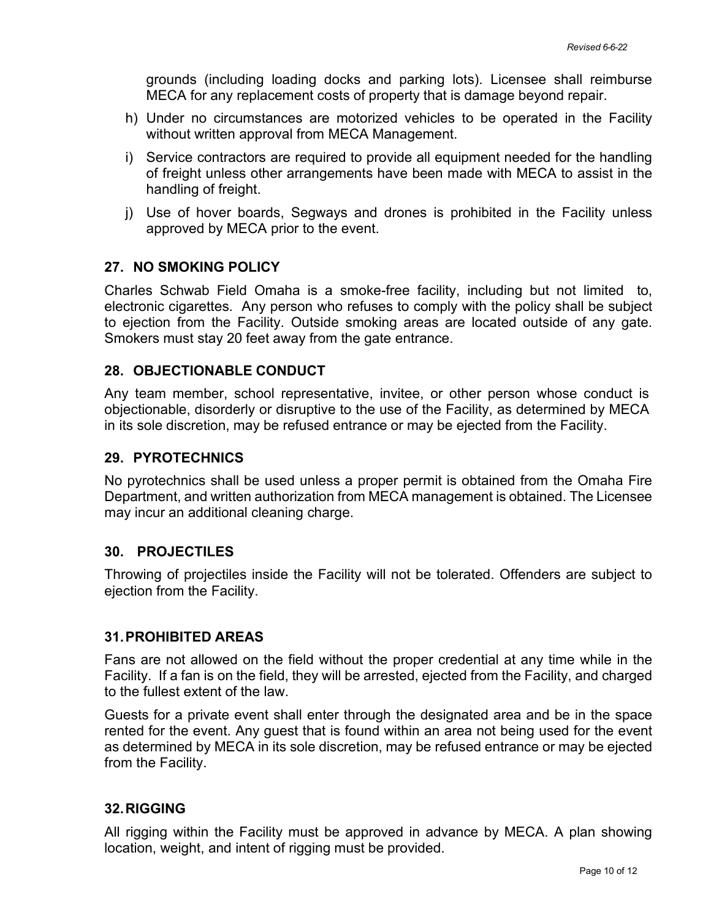grounds (including loading docks and parking lots). Licensee shall reimburse MECA for any replacement costs of property that is damage beyond repair.

- h) Under no circumstances are motorized vehicles to be operated in the Facility without written approval from MECA Management.
- i) Service contractors are required to provide all equipment needed for the handling of freight unless other arrangements have been made with MECA to assist in the handling of freight.
- j) Use of hover boards, Segways and drones is prohibited in the Facility unless approved by MECA prior to the event.

# **27. NO SMOKING POLICY**

Charles Schwab Field Omaha is a smoke-free facility, including but not limited to, electronic cigarettes. Any person who refuses to comply with the policy shall be subject to ejection from the Facility. Outside smoking areas are located outside of any gate. Smokers must stay 20 feet away from the gate entrance.

# **28. OBJECTIONABLE CONDUCT**

Any team member, school representative, invitee, or other person whose conduct is objectionable, disorderly or disruptive to the use of the Facility, as determined by MECA in its sole discretion, may be refused entrance or may be ejected from the Facility.

# **29. PYROTECHNICS**

No pyrotechnics shall be used unless a proper permit is obtained from the Omaha Fire Department, and written authorization from MECA management is obtained. The Licensee may incur an additional cleaning charge.

#### **30. PROJECTILES**

Throwing of projectiles inside the Facility will not be tolerated. Offenders are subject to ejection from the Facility.

#### **31.PROHIBITED AREAS**

Fans are not allowed on the field without the proper credential at any time while in the Facility. If a fan is on the field, they will be arrested, ejected from the Facility, and charged to the fullest extent of the law.

Guests for a private event shall enter through the designated area and be in the space rented for the event. Any guest that is found within an area not being used for the event as determined by MECA in its sole discretion, may be refused entrance or may be ejected from the Facility.

#### **32.RIGGING**

All rigging within the Facility must be approved in advance by MECA. A plan showing location, weight, and intent of rigging must be provided.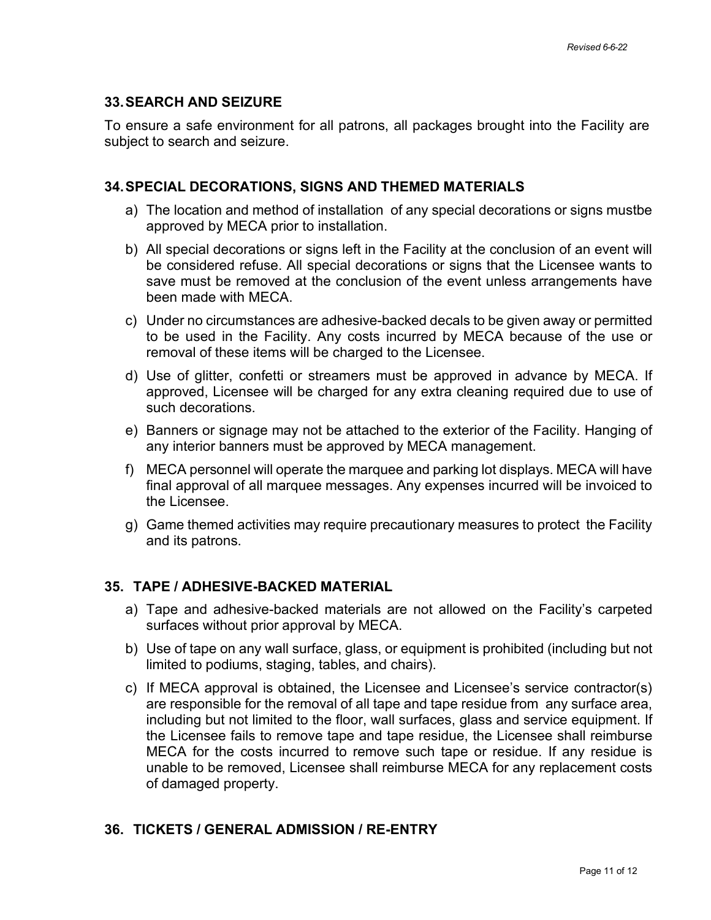# **33.SEARCH AND SEIZURE**

To ensure a safe environment for all patrons, all packages brought into the Facility are subject to search and seizure.

# **34.SPECIAL DECORATIONS, SIGNS AND THEMED MATERIALS**

- a) The location and method of installation of any special decorations or signs mustbe approved by MECA prior to installation.
- b) All special decorations or signs left in the Facility at the conclusion of an event will be considered refuse. All special decorations or signs that the Licensee wants to save must be removed at the conclusion of the event unless arrangements have been made with MECA.
- c) Under no circumstances are adhesive-backed decals to be given away or permitted to be used in the Facility. Any costs incurred by MECA because of the use or removal of these items will be charged to the Licensee.
- d) Use of glitter, confetti or streamers must be approved in advance by MECA. If approved, Licensee will be charged for any extra cleaning required due to use of such decorations.
- e) Banners or signage may not be attached to the exterior of the Facility. Hanging of any interior banners must be approved by MECA management.
- f) MECA personnel will operate the marquee and parking lot displays. MECA will have final approval of all marquee messages. Any expenses incurred will be invoiced to the Licensee.
- g) Game themed activities may require precautionary measures to protect the Facility and its patrons.

# **35. TAPE / ADHESIVE-BACKED MATERIAL**

- a) Tape and adhesive-backed materials are not allowed on the Facility's carpeted surfaces without prior approval by MECA.
- b) Use of tape on any wall surface, glass, or equipment is prohibited (including but not limited to podiums, staging, tables, and chairs).
- c) If MECA approval is obtained, the Licensee and Licensee's service contractor(s) are responsible for the removal of all tape and tape residue from any surface area, including but not limited to the floor, wall surfaces, glass and service equipment. If the Licensee fails to remove tape and tape residue, the Licensee shall reimburse MECA for the costs incurred to remove such tape or residue. If any residue is unable to be removed, Licensee shall reimburse MECA for any replacement costs of damaged property.

# **36. TICKETS / GENERAL ADMISSION / RE-ENTRY**